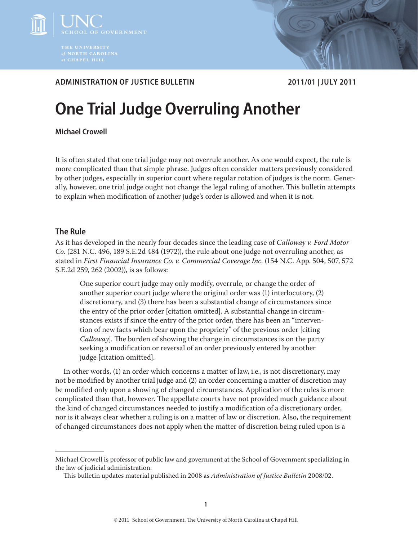



# **ADMINISTRATION OF JUSTICE BULLETIN 2011/01 | JULY 2011**

# **One Trial Judge Overruling Another**

**Michael Crowell**

It is often stated that one trial judge may not overrule another. As one would expect, the rule is more complicated than that simple phrase. Judges often consider matters previously considered by other judges, especially in superior court where regular rotation of judges is the norm. Generally, however, one trial judge ought not change the legal ruling of another. This bulletin attempts to explain when modification of another judge's order is allowed and when it is not.

# **The Rule**

As it has developed in the nearly four decades since the leading case of *Calloway v. Ford Motor Co*. (281 N.C. 496, 189 S.E.2d 484 (1972)), the rule about one judge not overruling another, as stated in *First Financial Insurance Co. v. Commercial Coverage Inc*. (154 N.C. App. 504, 507, 572 S.E.2d 259, 262 (2002)), is as follows:

One superior court judge may only modify, overrule, or change the order of another superior court judge where the original order was (1) interlocutory, (2) discretionary, and (3) there has been a substantial change of circumstances since the entry of the prior order [citation omitted]. A substantial change in circumstances exists if since the entry of the prior order, there has been an "intervention of new facts which bear upon the propriety" of the previous order [citing *Calloway*]. The burden of showing the change in circumstances is on the party seeking a modification or reversal of an order previously entered by another judge [citation omitted].

In other words, (1) an order which concerns a matter of law, i.e., is not discretionary, may not be modified by another trial judge and (2) an order concerning a matter of discretion may be modified only upon a showing of changed circumstances. Application of the rules is more complicated than that, however. The appellate courts have not provided much guidance about the kind of changed circumstances needed to justify a modification of a discretionary order, nor is it always clear whether a ruling is on a matter of law or discretion. Also, the requirement of changed circumstances does not apply when the matter of discretion being ruled upon is a

Michael Crowell is professor of public law and government at the School of Government specializing in the law of judicial administration.

This bulletin updates material published in 2008 as *Administration of Justice Bulletin* 2008/02.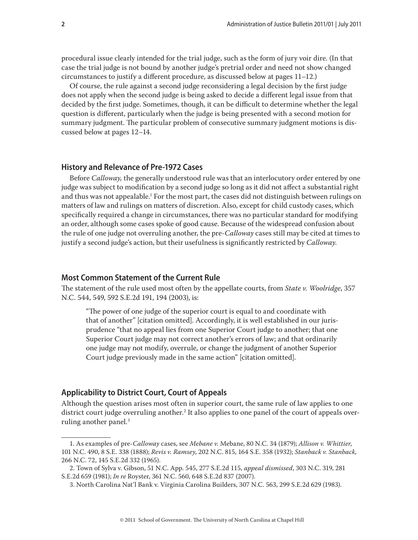procedural issue clearly intended for the trial judge, such as the form of jury voir dire. (In that case the trial judge is not bound by another judge's pretrial order and need not show changed circumstances to justify a different procedure, as discussed below at pages 11–12.)

Of course, the rule against a second judge reconsidering a legal decision by the first judge does not apply when the second judge is being asked to decide a different legal issue from that decided by the first judge. Sometimes, though, it can be difficult to determine whether the legal question is different, particularly when the judge is being presented with a second motion for summary judgment. The particular problem of consecutive summary judgment motions is discussed below at pages 12–14.

## **History and Relevance of Pre-1972 Cases**

Before *Calloway,* the generally understood rule was that an interlocutory order entered by one judge was subject to modification by a second judge so long as it did not affect a substantial right and thus was not appealable.<sup>1</sup> For the most part, the cases did not distinguish between rulings on matters of law and rulings on matters of discretion. Also, except for child custody cases, which specifically required a change in circumstances, there was no particular standard for modifying an order, although some cases spoke of good cause. Because of the widespread confusion about the rule of one judge not overruling another, the pre-*Calloway* cases still may be cited at times to justify a second judge's action, but their usefulness is significantly restricted by *Calloway*.

## **Most Common Statement of the Current Rule**

The statement of the rule used most often by the appellate courts, from *State v. Woolridge*, 357 N.C. 544, 549, 592 S.E.2d 191, 194 (2003), is:

"The power of one judge of the superior court is equal to and coordinate with that of another" [citation omitted]. Accordingly, it is well established in our jurisprudence "that no appeal lies from one Superior Court judge to another; that one Superior Court judge may not correct another's errors of law; and that ordinarily one judge may not modify, overrule, or change the judgment of another Superior Court judge previously made in the same action" [citation omitted].

## **Applicability to District Court, Court of Appeals**

Although the question arises most often in superior court, the same rule of law applies to one district court judge overruling another. $^{\rm 2}$  It also applies to one panel of the court of appeals overruling another panel.<sup>3</sup>

<sup>1.</sup> As examples of pre-*Calloway* cases, see *Mebane v.* Mebane, 80 N.C. 34 (1879); *Allison v. Whittier*, 101 N.C. 490, 8 S.E. 338 (1888); *Revis v. Ramsey*, 202 N.C. 815, 164 S.E. 358 (1932); *Stanback v. Stanback*, 266 N.C. 72, 145 S.E.2d 332 (1965).

<sup>2.</sup> Town of Sylva v. Gibson, 51 N.C. App. 545, 277 S.E.2d 115, *appeal dismissed*, 303 N.C. 319, 281 S.E.2d 659 (1981); *In re* Royster, 361 N.C. 560, 648 S.E.2d 837 (2007).

<sup>3.</sup> North Carolina Nat'l Bank v. Virginia Carolina Builders, 307 N.C. 563, 299 S.E.2d 629 (1983).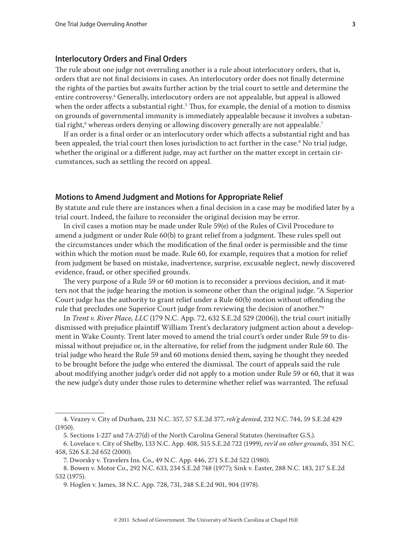## **Interlocutory Orders and Final Orders**

The rule about one judge not overruling another is a rule about interlocutory orders, that is, orders that are not final decisions in cases. An interlocutory order does not finally determine the rights of the parties but awaits further action by the trial court to settle and determine the entire controversy.4 Generally, interlocutory orders are not appealable, but appeal is allowed when the order affects a substantial right. $^5$  Thus, for example, the denial of a motion to dismiss on grounds of governmental immunity is immediately appealable because it involves a substantial right, $^6$  whereas orders denying or allowing discovery generally are not appealable. $^7$ 

If an order is a final order or an interlocutory order which affects a substantial right and has been appealed, the trial court then loses jurisdiction to act further in the case.<sup>8</sup> No trial judge, whether the original or a different judge, may act further on the matter except in certain circumstances, such as settling the record on appeal.

## **Motions to Amend Judgment and Motions for Appropriate Relief**

By statute and rule there are instances when a final decision in a case may be modified later by a trial court. Indeed, the failure to reconsider the original decision may be error.

In civil cases a motion may be made under Rule 59(e) of the Rules of Civil Procedure to amend a judgment or under Rule 60(b) to grant relief from a judgment. These rules spell out the circumstances under which the modification of the final order is permissible and the time within which the motion must be made. Rule 60, for example, requires that a motion for relief from judgment be based on mistake, inadvertence, surprise, excusable neglect, newly discovered evidence, fraud, or other specified grounds.

The very purpose of a Rule 59 or 60 motion is to reconsider a previous decision, and it matters not that the judge hearing the motion is someone other than the original judge. "A Superior Court judge has the authority to grant relief under a Rule 60(b) motion without offending the rule that precludes one Superior Court judge from reviewing the decision of another."9

In *Trent v. River Place, LLC* (179 N.C. App. 72, 632 S.E.2d 529 (2006)), the trial court initially dismissed with prejudice plaintiff William Trent's declaratory judgment action about a development in Wake County. Trent later moved to amend the trial court's order under Rule 59 to dismissal without prejudice or, in the alternative, for relief from the judgment under Rule 60. The trial judge who heard the Rule 59 and 60 motions denied them, saying he thought they needed to be brought before the judge who entered the dismissal. The court of appeals said the rule about modifying another judge's order did not apply to a motion under Rule 59 or 60, that it was the new judge's duty under those rules to determine whether relief was warranted. The refusal

<sup>4.</sup> Veazey v. City of Durham, 231 N.C. 357, 57 S.E.2d 377, *reh'g denied*, 232 N.C. 744, 59 S.E.2d 429 (1950).

<sup>5.</sup> Sections 1-227 and 7A-27(d) of the North Carolina General Statutes (hereinafter G.S.).

<sup>6.</sup> Lovelace v. City of Shelby, 133 N.C. App. 408, 515 S.E.2d 722 (1999), *rev'd on other grounds*, 351 N.C. 458, 526 S.E.2d 652 (2000).

<sup>7.</sup> Dworsky v. Travelers Ins. Co., 49 N.C. App. 446, 271 S.E.2d 522 (1980).

<sup>8.</sup> Bowen v. Motor Co., 292 N.C. 633, 234 S.E.2d 748 (1977); Sink v. Easter, 288 N.C. 183, 217 S.E.2d 532 (1975).

<sup>9.</sup> Hoglen v. James, 38 N.C. App. 728, 731, 248 S.E.2d 901, 904 (1978).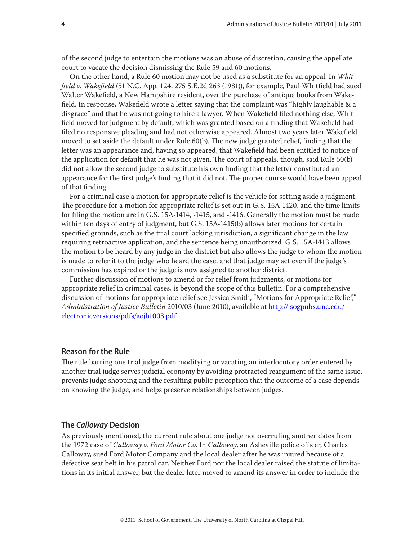of the second judge to entertain the motions was an abuse of discretion, causing the appellate court to vacate the decision dismissing the Rule 59 and 60 motions.

On the other hand, a Rule 60 motion may not be used as a substitute for an appeal. In *Whitfield v. Wakefield* (51 N.C. App. 124, 275 S.E.2d 263 (1981)), for example, Paul Whitfield had sued Walter Wakefield, a New Hampshire resident, over the purchase of antique books from Wakefield. In response, Wakefield wrote a letter saying that the complaint was "highly laughable & a disgrace" and that he was not going to hire a lawyer. When Wakefield filed nothing else, Whitfield moved for judgment by default, which was granted based on a finding that Wakefield had filed no responsive pleading and had not otherwise appeared. Almost two years later Wakefield moved to set aside the default under Rule 60(b). The new judge granted relief, finding that the letter was an appearance and, having so appeared, that Wakefield had been entitled to notice of the application for default that he was not given. The court of appeals, though, said Rule 60(b) did not allow the second judge to substitute his own finding that the letter constituted an appearance for the first judge's finding that it did not. The proper course would have been appeal of that finding.

For a criminal case a motion for appropriate relief is the vehicle for setting aside a judgment. The procedure for a motion for appropriate relief is set out in G.S. 15A-1420, and the time limits for filing the motion are in G.S. 15A-1414, -1415, and -1416. Generally the motion must be made within ten days of entry of judgment, but G.S. 15A-1415(b) allows later motions for certain specified grounds, such as the trial court lacking jurisdiction, a significant change in the law requiring retroactive application, and the sentence being unauthorized. G.S. 15A-1413 allows the motion to be heard by any judge in the district but also allows the judge to whom the motion is made to refer it to the judge who heard the case, and that judge may act even if the judge's commission has expired or the judge is now assigned to another district.

Further discussion of motions to amend or for relief from judgments, or motions for appropriate relief in criminal cases, is beyond the scope of this bulletin. For a comprehensive discussion of motions for appropriate relief see Jessica Smith, "Motions for Appropriate Relief," *Administration of Justice Bulletin* 2010/03 (June 2010), available at http:// sogpubs.unc.edu/ electronicversions/pdfs/aojb1003.pdf.

## **Reason for the Rule**

The rule barring one trial judge from modifying or vacating an interlocutory order entered by another trial judge serves judicial economy by avoiding protracted reargument of the same issue, prevents judge shopping and the resulting public perception that the outcome of a case depends on knowing the judge, and helps preserve relationships between judges.

## **The** *Calloway* **Decision**

As previously mentioned, the current rule about one judge not overruling another dates from the 1972 case of *Calloway v. Ford Motor Co*. In *Calloway*, an Asheville police officer, Charles Calloway, sued Ford Motor Company and the local dealer after he was injured because of a defective seat belt in his patrol car. Neither Ford nor the local dealer raised the statute of limitations in its initial answer, but the dealer later moved to amend its answer in order to include the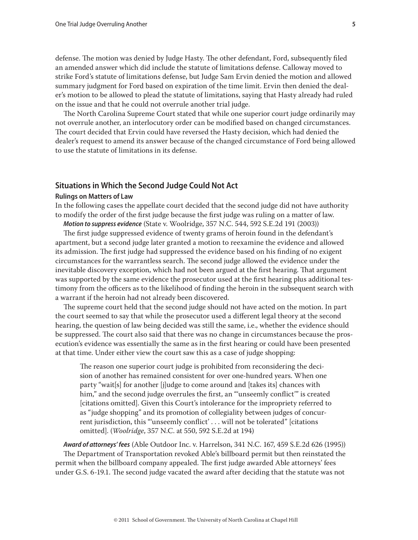defense. The motion was denied by Judge Hasty. The other defendant, Ford, subsequently filed an amended answer which did include the statute of limitations defense. Calloway moved to strike Ford's statute of limitations defense, but Judge Sam Ervin denied the motion and allowed summary judgment for Ford based on expiration of the time limit. Ervin then denied the dealer's motion to be allowed to plead the statute of limitations, saying that Hasty already had ruled on the issue and that he could not overrule another trial judge.

The North Carolina Supreme Court stated that while one superior court judge ordinarily may not overrule another, an interlocutory order can be modified based on changed circumstances. The court decided that Ervin could have reversed the Hasty decision, which had denied the dealer's request to amend its answer because of the changed circumstance of Ford being allowed to use the statute of limitations in its defense.

## **Situations in Which the Second Judge Could Not Act**

#### **Rulings on Matters of Law**

In the following cases the appellate court decided that the second judge did not have authority to modify the order of the first judge because the first judge was ruling on a matter of law.

*Motion to suppress evidence* (State v. Woolridge, 357 N.C. 544, 592 S.E.2d 191 (2003))

The first judge suppressed evidence of twenty grams of heroin found in the defendant's apartment, but a second judge later granted a motion to reexamine the evidence and allowed its admission. The first judge had suppressed the evidence based on his finding of no exigent circumstances for the warrantless search. The second judge allowed the evidence under the inevitable discovery exception, which had not been argued at the first hearing. That argument was supported by the same evidence the prosecutor used at the first hearing plus additional testimony from the officers as to the likelihood of finding the heroin in the subsequent search with a warrant if the heroin had not already been discovered.

The supreme court held that the second judge should not have acted on the motion. In part the court seemed to say that while the prosecutor used a different legal theory at the second hearing, the question of law being decided was still the same, i.e., whether the evidence should be suppressed. The court also said that there was no change in circumstances because the prosecution's evidence was essentially the same as in the first hearing or could have been presented at that time. Under either view the court saw this as a case of judge shopping:

The reason one superior court judge is prohibited from reconsidering the decision of another has remained consistent for over one-hundred years. When one party "wait[s] for another [j]udge to come around and [takes its] chances with him," and the second judge overrules the first, an "'unseemly conflict'" is created [citations omitted]. Given this Court's intolerance for the impropriety referred to as "judge shopping" and its promotion of collegiality between judges of concurrent jurisdiction, this "'unseemly conflict' . . . will not be tolerated" [citations omitted]. (*Woolridge*, 357 N.C. at 550, 592 S.E.2d at 194)

*Award of attorneys' fees* (Able Outdoor Inc. v. Harrelson, 341 N.C. 167, 459 S.E.2d 626 (1995)) The Department of Transportation revoked Able's billboard permit but then reinstated the permit when the billboard company appealed. The first judge awarded Able attorneys' fees under G.S. 6-19.1. The second judge vacated the award after deciding that the statute was not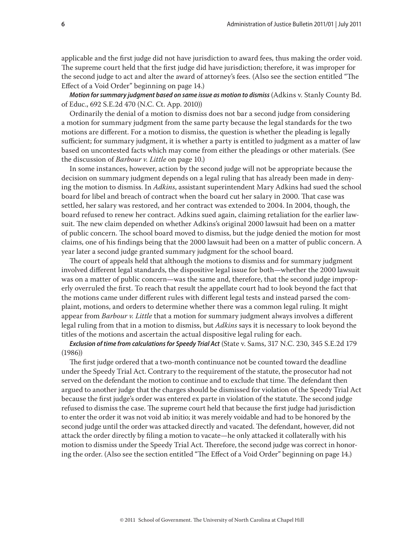applicable and the first judge did not have jurisdiction to award fees, thus making the order void. The supreme court held that the first judge did have jurisdiction; therefore, it was improper for the second judge to act and alter the award of attorney's fees. (Also see the section entitled "The Effect of a Void Order" beginning on page 14.)

*Motion for summary judgment based on same issue as motion to dismiss* (Adkins v. Stanly County Bd. of Educ., 692 S.E.2d 470 (N.C. Ct. App. 2010))

Ordinarily the denial of a motion to dismiss does not bar a second judge from considering a motion for summary judgment from the same party because the legal standards for the two motions are different. For a motion to dismiss, the question is whether the pleading is legally sufficient; for summary judgment, it is whether a party is entitled to judgment as a matter of law based on uncontested facts which may come from either the pleadings or other materials. (See the discussion of *Barbour v. Little* on page 10.)

In some instances, however, action by the second judge will not be appropriate because the decision on summary judgment depends on a legal ruling that has already been made in denying the motion to dismiss. In *Adkins*, assistant superintendent Mary Adkins had sued the school board for libel and breach of contract when the board cut her salary in 2000. That case was settled, her salary was restored, and her contract was extended to 2004. In 2004, though, the board refused to renew her contract. Adkins sued again, claiming retaliation for the earlier lawsuit. The new claim depended on whether Adkins's original 2000 lawsuit had been on a matter of public concern. The school board moved to dismiss, but the judge denied the motion for most claims, one of his findings being that the 2000 lawsuit had been on a matter of public concern. A year later a second judge granted summary judgment for the school board.

The court of appeals held that although the motions to dismiss and for summary judgment involved different legal standards, the dispositive legal issue for both—whether the 2000 lawsuit was on a matter of public concern—was the same and, therefore, that the second judge improperly overruled the first. To reach that result the appellate court had to look beyond the fact that the motions came under different rules with different legal tests and instead parsed the complaint, motions, and orders to determine whether there was a common legal ruling. It might appear from *Barbour v. Little* that a motion for summary judgment always involves a different legal ruling from that in a motion to dismiss, but *Adkins* says it is necessary to look beyond the titles of the motions and ascertain the actual dispositive legal ruling for each.

*Exclusion of time from calculations for Speedy Trial Act* (State v. Sams, 317 N.C. 230, 345 S.E.2d 179 (1986))

The first judge ordered that a two-month continuance not be counted toward the deadline under the Speedy Trial Act. Contrary to the requirement of the statute, the prosecutor had not served on the defendant the motion to continue and to exclude that time. The defendant then argued to another judge that the charges should be dismissed for violation of the Speedy Trial Act because the first judge's order was entered ex parte in violation of the statute. The second judge refused to dismiss the case. The supreme court held that because the first judge had jurisdiction to enter the order it was not void ab initio; it was merely voidable and had to be honored by the second judge until the order was attacked directly and vacated. The defendant, however, did not attack the order directly by filing a motion to vacate—he only attacked it collaterally with his motion to dismiss under the Speedy Trial Act. Therefore, the second judge was correct in honoring the order. (Also see the section entitled "The Effect of a Void Order" beginning on page 14.)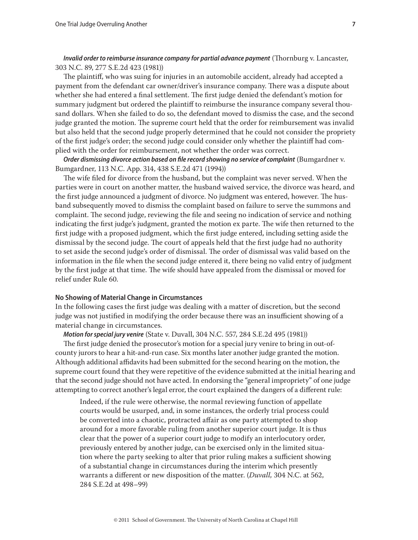*Invalid order to reimburse insurance company for partial advance payment* (Thornburg v. Lancaster, 303 N.C. 89, 277 S.E.2d 423 (1981))

The plaintiff, who was suing for injuries in an automobile accident, already had accepted a payment from the defendant car owner/driver's insurance company. There was a dispute about whether she had entered a final settlement. The first judge denied the defendant's motion for summary judgment but ordered the plaintiff to reimburse the insurance company several thousand dollars. When she failed to do so, the defendant moved to dismiss the case, and the second judge granted the motion. The supreme court held that the order for reimbursement was invalid but also held that the second judge properly determined that he could not consider the propriety of the first judge's order; the second judge could consider only whether the plaintiff had complied with the order for reimbursement, not whether the order was correct.

*Order dismissing divorce action based on file record showing no service of complaint* (Bumgardner v. Bumgardner, 113 N.C. App. 314, 438 S.E.2d 471 (1994))

The wife filed for divorce from the husband, but the complaint was never served. When the parties were in court on another matter, the husband waived service, the divorce was heard, and the first judge announced a judgment of divorce. No judgment was entered, however. The husband subsequently moved to dismiss the complaint based on failure to serve the summons and complaint. The second judge, reviewing the file and seeing no indication of service and nothing indicating the first judge's judgment, granted the motion ex parte. The wife then returned to the first judge with a proposed judgment, which the first judge entered, including setting aside the dismissal by the second judge. The court of appeals held that the first judge had no authority to set aside the second judge's order of dismissal. The order of dismissal was valid based on the information in the file when the second judge entered it, there being no valid entry of judgment by the first judge at that time. The wife should have appealed from the dismissal or moved for relief under Rule 60.

## **No Showing of Material Change in Circumstances**

In the following cases the first judge was dealing with a matter of discretion, but the second judge was not justified in modifying the order because there was an insufficient showing of a material change in circumstances.

*Motion for special jury venire* (State v. Duvall, 304 N.C. 557, 284 S.E.2d 495 (1981))

The first judge denied the prosecutor's motion for a special jury venire to bring in out-ofcounty jurors to hear a hit-and-run case. Six months later another judge granted the motion. Although additional affidavits had been submitted for the second hearing on the motion, the supreme court found that they were repetitive of the evidence submitted at the initial hearing and that the second judge should not have acted. In endorsing the "general impropriety" of one judge attempting to correct another's legal error, the court explained the dangers of a different rule:

Indeed, if the rule were otherwise, the normal reviewing function of appellate courts would be usurped, and, in some instances, the orderly trial process could be converted into a chaotic, protracted affair as one party attempted to shop around for a more favorable ruling from another superior court judge. It is thus clear that the power of a superior court judge to modify an interlocutory order, previously entered by another judge, can be exercised only in the limited situation where the party seeking to alter that prior ruling makes a sufficient showing of a substantial change in circumstances during the interim which presently warrants a different or new disposition of the matter. (*Duvall,* 304 N.C. at 562, 284 S.E.2d at 498–99)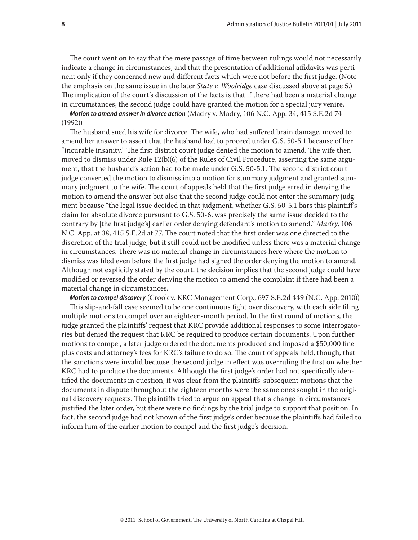The court went on to say that the mere passage of time between rulings would not necessarily indicate a change in circumstances, and that the presentation of additional affidavits was pertinent only if they concerned new and different facts which were not before the first judge. (Note the emphasis on the same issue in the later *State v. Woolridge* case discussed above at page 5.) The implication of the court's discussion of the facts is that if there had been a material change in circumstances, the second judge could have granted the motion for a special jury venire.

*Motion to amend answer in divorce action* (Madry v. Madry, 106 N.C. App. 34, 415 S.E.2d 74 (1992))

The husband sued his wife for divorce. The wife, who had suffered brain damage, moved to amend her answer to assert that the husband had to proceed under G.S. 50-5.1 because of her "incurable insanity." The first district court judge denied the motion to amend. The wife then moved to dismiss under Rule 12(b)(6) of the Rules of Civil Procedure, asserting the same argument, that the husband's action had to be made under G.S. 50-5.1. The second district court judge converted the motion to dismiss into a motion for summary judgment and granted summary judgment to the wife. The court of appeals held that the first judge erred in denying the motion to amend the answer but also that the second judge could not enter the summary judgment because "the legal issue decided in that judgment, whether G.S. 50-5.1 bars this plaintiff's claim for absolute divorce pursuant to G.S. 50-6, was precisely the same issue decided to the contrary by [the first judge's] earlier order denying defendant's motion to amend." *Madry*, 106 N.C. App. at 38, 415 S.E.2d at 77. The court noted that the first order was one directed to the discretion of the trial judge, but it still could not be modified unless there was a material change in circumstances. There was no material change in circumstances here where the motion to dismiss was filed even before the first judge had signed the order denying the motion to amend. Although not explicitly stated by the court, the decision implies that the second judge could have modified or reversed the order denying the motion to amend the complaint if there had been a material change in circumstances.

*Motion to compel discovery* (Crook v. KRC Management Corp., 697 S.E.2d 449 (N.C. App. 2010)) This slip-and-fall case seemed to be one continuous fight over discovery, with each side filing multiple motions to compel over an eighteen-month period. In the first round of motions, the judge granted the plaintiffs' request that KRC provide additional responses to some interrogatories but denied the request that KRC be required to produce certain documents. Upon further motions to compel, a later judge ordered the documents produced and imposed a \$50,000 fine plus costs and attorney's fees for KRC's failure to do so. The court of appeals held, though, that the sanctions were invalid because the second judge in effect was overruling the first on whether KRC had to produce the documents. Although the first judge's order had not specifically identified the documents in question, it was clear from the plaintiffs' subsequent motions that the documents in dispute throughout the eighteen months were the same ones sought in the original discovery requests. The plaintiffs tried to argue on appeal that a change in circumstances justified the later order, but there were no findings by the trial judge to support that position. In fact, the second judge had not known of the first judge's order because the plaintiffs had failed to inform him of the earlier motion to compel and the first judge's decision.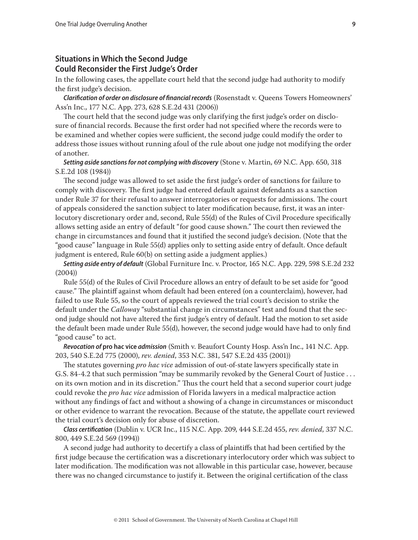# **Situations in Which the Second Judge Could Reconsider the First Judge's Order**

In the following cases, the appellate court held that the second judge had authority to modify the first judge's decision.

*Clarification of order on disclosure of financial records* (Rosenstadt v. Queens Towers Homeowners' Ass'n Inc., 177 N.C. App. 273, 628 S.E.2d 431 (2006))

The court held that the second judge was only clarifying the first judge's order on disclosure of financial records. Because the first order had not specified where the records were to be examined and whether copies were sufficient, the second judge could modify the order to address those issues without running afoul of the rule about one judge not modifying the order of another.

*Setting aside sanctions for not complying with discovery* (Stone v. Martin, 69 N.C. App. 650, 318 S.E.2d 108 (1984))

The second judge was allowed to set aside the first judge's order of sanctions for failure to comply with discovery. The first judge had entered default against defendants as a sanction under Rule 37 for their refusal to answer interrogatories or requests for admissions. The court of appeals considered the sanction subject to later modification because, first, it was an interlocutory discretionary order and, second, Rule 55(d) of the Rules of Civil Procedure specifically allows setting aside an entry of default "for good cause shown." The court then reviewed the change in circumstances and found that it justified the second judge's decision. (Note that the "good cause" language in Rule 55(d) applies only to setting aside entry of default. Once default judgment is entered, Rule 60(b) on setting aside a judgment applies.)

*Setting aside entry of default* (Global Furniture Inc. v. Proctor, 165 N.C. App. 229, 598 S.E.2d 232 (2004))

Rule 55(d) of the Rules of Civil Procedure allows an entry of default to be set aside for "good cause." The plaintiff against whom default had been entered (on a counterclaim), however, had failed to use Rule 55, so the court of appeals reviewed the trial court's decision to strike the default under the *Calloway* "substantial change in circumstances" test and found that the second judge should not have altered the first judge's entry of default. Had the motion to set aside the default been made under Rule 55(d), however, the second judge would have had to only find "good cause" to act.

*Revocation of* **pro hac vice** *admission* (Smith v. Beaufort County Hosp. Ass'n Inc., 141 N.C. App. 203, 540 S.E.2d 775 (2000), *rev. denied*, 353 N.C. 381, 547 S.E.2d 435 (2001))

The statutes governing *pro hac vice* admission of out-of-state lawyers specifically state in G.S. 84-4.2 that such permission "may be summarily revoked by the General Court of Justice . . . on its own motion and in its discretion." Thus the court held that a second superior court judge could revoke the *pro hac vice* admission of Florida lawyers in a medical malpractice action without any findings of fact and without a showing of a change in circumstances or misconduct or other evidence to warrant the revocation. Because of the statute, the appellate court reviewed the trial court's decision only for abuse of discretion.

*Class certification* (Dublin v. UCR Inc., 115 N.C. App. 209, 444 S.E.2d 455, *rev. denied*, 337 N.C. 800, 449 S.E.2d 569 (1994))

A second judge had authority to decertify a class of plaintiffs that had been certified by the first judge because the certification was a discretionary interlocutory order which was subject to later modification. The modification was not allowable in this particular case, however, because there was no changed circumstance to justify it. Between the original certification of the class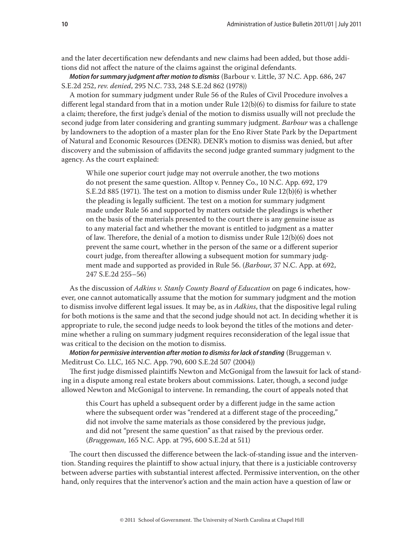and the later decertification new defendants and new claims had been added, but those additions did not affect the nature of the claims against the original defendants.

*Motion for summary judgment after motion to dismiss* (Barbour v. Little, 37 N.C. App. 686, 247 S.E.2d 252, *rev. denied*, 295 N.C. 733, 248 S.E.2d 862 (1978))

A motion for summary judgment under Rule 56 of the Rules of Civil Procedure involves a different legal standard from that in a motion under Rule 12(b)(6) to dismiss for failure to state a claim; therefore, the first judge's denial of the motion to dismiss usually will not preclude the second judge from later considering and granting summary judgment. *Barbour* was a challenge by landowners to the adoption of a master plan for the Eno River State Park by the Department of Natural and Economic Resources (DENR). DENR's motion to dismiss was denied, but after discovery and the submission of affidavits the second judge granted summary judgment to the agency. As the court explained:

While one superior court judge may not overrule another, the two motions do not present the same question. Alltop v. Penney Co., 10 N.C. App. 692, 179 S.E.2d 885 (1971). The test on a motion to dismiss under Rule 12(b)(6) is whether the pleading is legally sufficient. The test on a motion for summary judgment made under Rule 56 and supported by matters outside the pleadings is whether on the basis of the materials presented to the court there is any genuine issue as to any material fact and whether the movant is entitled to judgment as a matter of law. Therefore, the denial of a motion to dismiss under Rule 12(b)(6) does not prevent the same court, whether in the person of the same or a different superior court judge, from thereafter allowing a subsequent motion for summary judgment made and supported as provided in Rule 56. (*Barbour*, 37 N.C. App. at 692, 247 S.E.2d 255–56)

As the discussion of *Adkins v. Stanly County Board of Education* on page 6 indicates, however, one cannot automatically assume that the motion for summary judgment and the motion to dismiss involve different legal issues. It may be, as in *Adkins*, that the dispositive legal ruling for both motions is the same and that the second judge should not act. In deciding whether it is appropriate to rule, the second judge needs to look beyond the titles of the motions and determine whether a ruling on summary judgment requires reconsideration of the legal issue that was critical to the decision on the motion to dismiss.

*Motion for permissive intervention after motion to dismiss for lack of standing* (Bruggeman v. Meditrust Co. LLC, 165 N.C. App. 790, 600 S.E.2d 507 (2004))

The first judge dismissed plaintiffs Newton and McGonigal from the lawsuit for lack of standing in a dispute among real estate brokers about commissions. Later, though, a second judge allowed Newton and McGonigal to intervene. In remanding, the court of appeals noted that

this Court has upheld a subsequent order by a different judge in the same action where the subsequent order was "rendered at a different stage of the proceeding," did not involve the same materials as those considered by the previous judge, and did not "present the same question" as that raised by the previous order. (*Bruggeman*, 165 N.C. App. at 795, 600 S.E.2d at 511)

The court then discussed the difference between the lack-of-standing issue and the intervention. Standing requires the plaintiff to show actual injury, that there is a justiciable controversy between adverse parties with substantial interest affected. Permissive intervention, on the other hand, only requires that the intervenor's action and the main action have a question of law or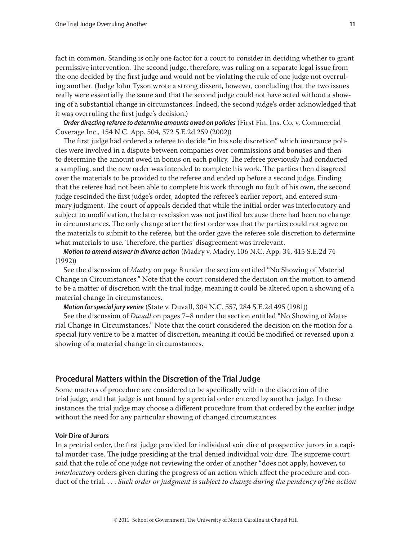fact in common. Standing is only one factor for a court to consider in deciding whether to grant permissive intervention. The second judge, therefore, was ruling on a separate legal issue from the one decided by the first judge and would not be violating the rule of one judge not overruling another. (Judge John Tyson wrote a strong dissent, however, concluding that the two issues really were essentially the same and that the second judge could not have acted without a showing of a substantial change in circumstances. Indeed, the second judge's order acknowledged that it was overruling the first judge's decision.)

*Order directing referee to determine amounts owed on policies* (First Fin. Ins. Co. v. Commercial Coverage Inc., 154 N.C. App. 504, 572 S.E.2d 259 (2002))

The first judge had ordered a referee to decide "in his sole discretion" which insurance policies were involved in a dispute between companies over commissions and bonuses and then to determine the amount owed in bonus on each policy. The referee previously had conducted a sampling, and the new order was intended to complete his work. The parties then disagreed over the materials to be provided to the referee and ended up before a second judge. Finding that the referee had not been able to complete his work through no fault of his own, the second judge rescinded the first judge's order, adopted the referee's earlier report, and entered summary judgment. The court of appeals decided that while the initial order was interlocutory and subject to modification, the later rescission was not justified because there had been no change in circumstances. The only change after the first order was that the parties could not agree on the materials to submit to the referee, but the order gave the referee sole discretion to determine what materials to use. Therefore, the parties' disagreement was irrelevant.

*Motion to amend answer in divorce action* (Madry v. Madry, 106 N.C. App. 34, 415 S.E.2d 74 (1992))

See the discussion of *Madry* on page 8 under the section entitled "No Showing of Material Change in Circumstances." Note that the court considered the decision on the motion to amend to be a matter of discretion with the trial judge, meaning it could be altered upon a showing of a material change in circumstances.

*Motion for special jury venire* (State v. Duvall, 304 N.C. 557, 284 S.E.2d 495 (1981))

See the discussion of *Duvall* on pages 7–8 under the section entitled "No Showing of Material Change in Circumstances." Note that the court considered the decision on the motion for a special jury venire to be a matter of discretion, meaning it could be modified or reversed upon a showing of a material change in circumstances.

## **Procedural Matters within the Discretion of the Trial Judge**

Some matters of procedure are considered to be specifically within the discretion of the trial judge, and that judge is not bound by a pretrial order entered by another judge. In these instances the trial judge may choose a different procedure from that ordered by the earlier judge without the need for any particular showing of changed circumstances.

## **Voir Dire of Jurors**

In a pretrial order, the first judge provided for individual voir dire of prospective jurors in a capital murder case. The judge presiding at the trial denied individual voir dire. The supreme court said that the rule of one judge not reviewing the order of another "does not apply, however, to *interlocutory* orders given during the progress of an action which affect the procedure and conduct of the trial. . . . *Such order or judgment is subject to change during the pendency of the action*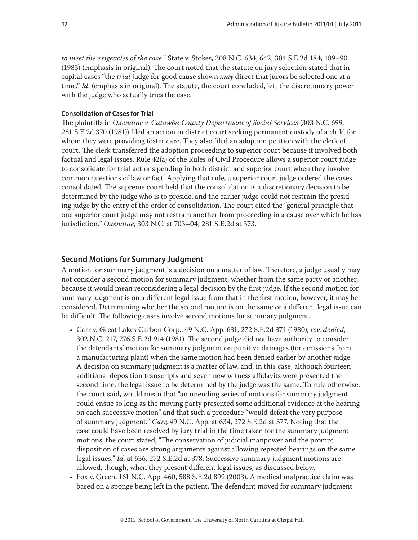*to meet the exigencies of the case*." State v. Stokes, 308 N.C. 634, 642, 304 S.E.2d 184, 189–90 (1983) (emphasis in original). The court noted that the statute on jury selection stated that in capital cases "the *trial* judge for good cause shown *may* direct that jurors be selected one at a time." *Id*. (emphasis in original). The statute, the court concluded, left the discretionary power with the judge who actually tries the case.

## **Consolidation of Cases for Trial**

The plaintiffs in *Oxendine v. Catawba County Department of Social Services* (303 N.C. 699, 281 S.E.2d 370 (1981)) filed an action in district court seeking permanent custody of a child for whom they were providing foster care. They also filed an adoption petition with the clerk of court. The clerk transferred the adoption proceeding to superior court because it involved both factual and legal issues. Rule 42(a) of the Rules of Civil Procedure allows a superior court judge to consolidate for trial actions pending in both district and superior court when they involve common questions of law or fact. Applying that rule, a superior court judge ordered the cases consolidated. The supreme court held that the consolidation is a discretionary decision to be determined by the judge who is to preside, and the earlier judge could not restrain the presiding judge by the entry of the order of consolidation. The court cited the "general principle that one superior court judge may not restrain another from proceeding in a cause over which he has jurisdiction." *Oxendine*, 303 N.C. at 703–04, 281 S.E.2d at 373.

## **Second Motions for Summary Judgment**

A motion for summary judgment is a decision on a matter of law. Therefore, a judge usually may not consider a second motion for summary judgment, whether from the same party or another, because it would mean reconsidering a legal decision by the first judge. If the second motion for summary judgment is on a different legal issue from that in the first motion, however, it may be considered. Determining whether the second motion is on the same or a different legal issue can be difficult. The following cases involve second motions for summary judgment.

- Carr v. Great Lakes Carbon Corp., 49 N.C. App. 631, 272 S.E.2d 374 (1980), *rev. denied*, 302 N.C. 217, 276 S.E.2d 914 (1981). The second judge did not have authority to consider the defendants' motion for summary judgment on punitive damages (for emissions from a manufacturing plant) when the same motion had been denied earlier by another judge. A decision on summary judgment is a matter of law, and, in this case, although fourteen additional deposition transcripts and seven new witness affidavits were presented the second time, the legal issue to be determined by the judge was the same. To rule otherwise, the court said, would mean that "an unending series of motions for summary judgment could ensue so long as the moving party presented some additional evidence at the hearing on each successive motion" and that such a procedure "would defeat the very purpose of summary judgment." *Carr*, 49 N.C. App. at 634, 272 S.E.2d at 377. Noting that the case could have been resolved by jury trial in the time taken for the summary judgment motions, the court stated, "The conservation of judicial manpower and the prompt disposition of cases are strong arguments against allowing repeated hearings on the same legal issues." *Id*. at 636*,* 272 S.E.2d at 378. Successive summary judgment motions are allowed, though, when they present different legal issues, as discussed below.
- Fox v. Green, 161 N.C. App. 460, 588 S.E.2d 899 (2003). A medical malpractice claim was based on a sponge being left in the patient. The defendant moved for summary judgment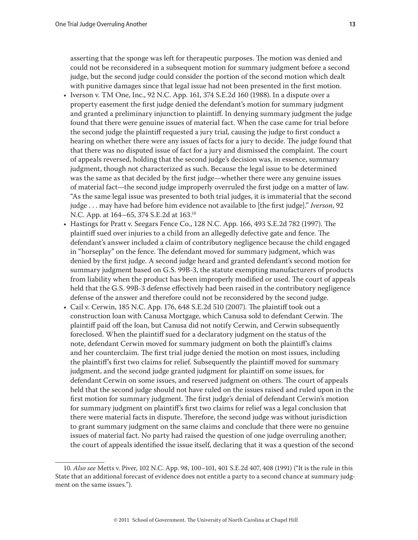asserting that the sponge was left for therapeutic purposes. The motion was denied and could not be reconsidered in a subsequent motion for summary judgment before a second judge, but the second judge could consider the portion of the second motion which dealt with punitive damages since that legal issue had not been presented in the first motion.

- Iverson v. TM One, Inc., 92 N.C. App. 161, 374 S.E.2d 160 (1988). In a dispute over a property easement the first judge denied the defendant's motion for summary judgment and granted a preliminary injunction to plaintiff. In denying summary judgment the judge found that there were genuine issues of material fact. When the case came for trial before the second judge the plaintiff requested a jury trial, causing the judge to first conduct a hearing on whether there were any issues of facts for a jury to decide. The judge found that that there was no disputed issue of fact for a jury and dismissed the complaint. The court of appeals reversed, holding that the second judge's decision was, in essence, summary judgment, though not characterized as such. Because the legal issue to be determined was the same as that decided by the first judge—whether there were any genuine issues of material fact—the second judge improperly overruled the first judge on a matter of law. "As the same legal issue was presented to both trial judges, it is immaterial that the second judge . . . may have had before him evidence not available to [the first judge]." *Iverson*, 92 N.C. App. at 164–65, 374 S.E.2d at 163.10
- Hastings for Pratt v. Seegars Fence Co., 128 N.C. App. 166, 493 S.E.2d 782 (1997). The plaintiff sued over injuries to a child from an allegedly defective gate and fence. The defendant's answer included a claim of contributory negligence because the child engaged in "horseplay" on the fence. The defendant moved for summary judgment, which was denied by the first judge. A second judge heard and granted defendant's second motion for summary judgment based on G.S. 99B-3, the statute exempting manufacturers of products from liability when the product has been improperly modified or used. The court of appeals held that the G.S. 99B-3 defense effectively had been raised in the contributory negligence defense of the answer and therefore could not be reconsidered by the second judge.
- Cail v. Cerwin, 185 N.C. App. 176, 648 S.E.2d 510 (2007). The plaintiff took out a construction loan with Canusa Mortgage, which Canusa sold to defendant Cerwin. The plaintiff paid off the loan, but Canusa did not notify Cerwin, and Cerwin subsequently foreclosed. When the plaintiff sued for a declaratory judgment on the status of the note, defendant Cerwin moved for summary judgment on both the plaintiff's claims and her counterclaim. The first trial judge denied the motion on most issues, including the plaintiff's first two claims for relief. Subsequently the plaintiff moved for summary judgment, and the second judge granted judgment for plaintiff on some issues, for defendant Cerwin on some issues, and reserved judgment on others. The court of appeals held that the second judge should not have ruled on the issues raised and ruled upon in the first motion for summary judgment. The first judge's denial of defendant Cerwin's motion for summary judgment on plaintiff's first two claims for relief was a legal conclusion that there were material facts in dispute. Therefore, the second judge was without jurisdiction to grant summary judgment on the same claims and conclude that there were no genuine issues of material fact. No party had raised the question of one judge overruling another; the court of appeals identified the issue itself, declaring that it was a question of the second

<sup>10</sup>*. Also see* Metts v. Piver, 102 N.C. App. 98, 100–101, 401 S.E.2d 407, 408 (1991) ("It is the rule in this State that an additional forecast of evidence does not entitle a party to a second chance at summary judgment on the same issues.").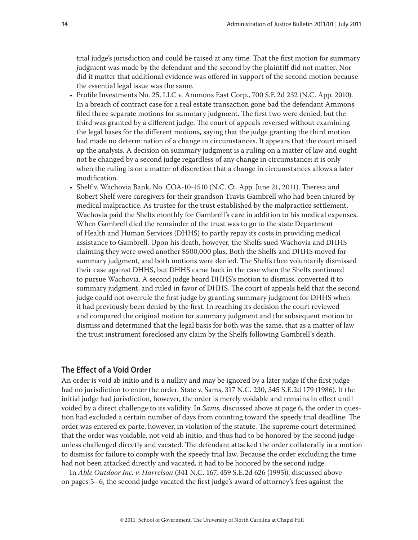trial judge's jurisdiction and could be raised at any time. That the first motion for summary judgment was made by the defendant and the second by the plaintiff did not matter. Nor did it matter that additional evidence was offered in support of the second motion because the essential legal issue was the same.

- Profile Investments No. 25, LLC v. Ammons East Corp., 700 S.E.2d 232 (N.C. App. 2010). In a breach of contract case for a real estate transaction gone bad the defendant Ammons filed three separate motions for summary judgment. The first two were denied, but the third was granted by a different judge. The court of appeals reversed without examining the legal bases for the different motions, saying that the judge granting the third motion had made no determination of a change in circumstances. It appears that the court mixed up the analysis. A decision on summary judgment is a ruling on a matter of law and ought not be changed by a second judge regardless of any change in circumstance; it is only when the ruling is on a matter of discretion that a change in circumstances allows a later modification.
- Shelf v. Wachovia Bank, No. COA-10-1510 (N.C. Ct. App. June 21, 2011). Theresa and Robert Shelf were caregivers for their grandson Travis Gambrell who had been injured by medical malpractice. As trustee for the trust established by the malpractice settlement, Wachovia paid the Shelfs monthly for Gambrell's care in addition to his medical expenses. When Gambrell died the remainder of the trust was to go to the state Department of Health and Human Services (DHHS) to partly repay its costs in providing medical assistance to Gambrell. Upon his death, however, the Shelfs sued Wachovia and DHHS claiming they were owed another \$500,000 plus. Both the Shelfs and DHHS moved for summary judgment, and both motions were denied. The Shelfs then voluntarily dismissed their case against DHHS, but DHHS came back in the case when the Shelfs continued to pursue Wachovia. A second judge heard DHHS's motion to dismiss, converted it to summary judgment, and ruled in favor of DHHS. The court of appeals held that the second judge could not overrule the first judge by granting summary judgment for DHHS when it had previously been denied by the first. In reaching its decision the court reviewed and compared the original motion for summary judgment and the subsequent motion to dismiss and determined that the legal basis for both was the same, that as a matter of law the trust instrument foreclosed any claim by the Shelfs following Gambrell's death.

## **The Effect of a Void Order**

An order is void ab initio and is a nullity and may be ignored by a later judge if the first judge had no jurisdiction to enter the order. State v. Sams, 317 N.C. 230, 345 S.E.2d 179 (1986). If the initial judge had jurisdiction, however, the order is merely voidable and remains in effect until voided by a direct challenge to its validity. In *Sams*, discussed above at page 6, the order in question had excluded a certain number of days from counting toward the speedy trial deadline. The order was entered ex parte, however, in violation of the statute. The supreme court determined that the order was voidable, not void ab initio, and thus had to be honored by the second judge unless challenged directly and vacated. The defendant attacked the order collaterally in a motion to dismiss for failure to comply with the speedy trial law. Because the order excluding the time had not been attacked directly and vacated, it had to be honored by the second judge.

In *Able Outdoor Inc. v. Harrelson* (341 N.C. 167, 459 S.E.2d 626 (1995)), discussed above on pages 5–6, the second judge vacated the first judge's award of attorney's fees against the